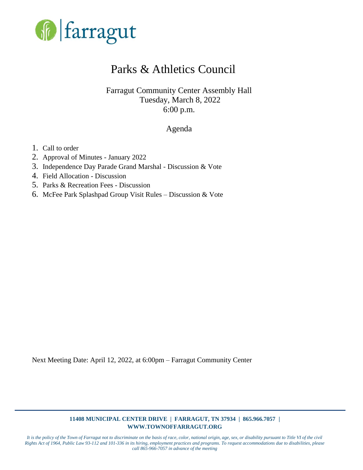

### Parks & Athletics Council

Farragut Community Center Assembly Hall Tuesday, March 8, 2022 6:00 p.m.

### Agenda

- 1. Call to order
- 2. Approval of Minutes January 2022
- 3. Independence Day Parade Grand Marshal Discussion & Vote
- 4. Field Allocation Discussion
- 5. Parks & Recreation Fees Discussion
- 6. McFee Park Splashpad Group Visit Rules Discussion & Vote

Next Meeting Date: April 12, 2022, at 6:00pm – Farragut Community Center

#### **11408 MUNICIPAL CENTER DRIVE | FARRAGUT, TN 37934 | 865.966.7057 | WWW.TOWNOFFARRAGUT.ORG**

*It is the policy of the Town of Farragut not to discriminate on the basis of race, color, national origin, age, sex, or disability pursuant to Title VI of the civil Rights Act of 1964, Public Law 93-112 and 101-336 in its hiring, employment practices and programs. To request accommodations due to disabilities, please call 865-966-7057 in advance of the meeting*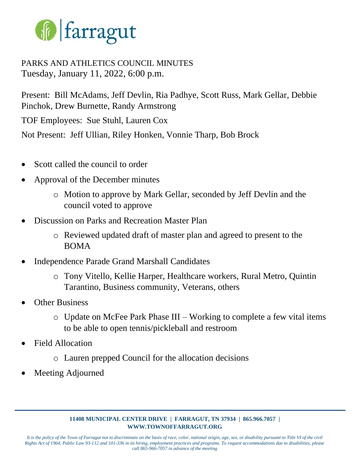

### PARKS AND ATHLETICS COUNCIL MINUTES Tuesday, January 11, 2022, 6:00 p.m.

Present: Bill McAdams, Jeff Devlin, Ria Padhye, Scott Russ, Mark Gellar, Debbie Pinchok, Drew Burnette, Randy Armstrong TOF Employees: Sue Stuhl, Lauren Cox Not Present: Jeff Ullian, Riley Honken, Vonnie Tharp, Bob Brock

- Scott called the council to order
- Approval of the December minutes
	- o Motion to approve by Mark Gellar, seconded by Jeff Devlin and the council voted to approve
- Discussion on Parks and Recreation Master Plan
	- o Reviewed updated draft of master plan and agreed to present to the BOMA
- Independence Parade Grand Marshall Candidates
	- o Tony Vitello, Kellie Harper, Healthcare workers, Rural Metro, Quintin Tarantino, Business community, Veterans, others
- **Other Business** 
	- o Update on McFee Park Phase III Working to complete a few vital items to be able to open tennis/pickleball and restroom
- Field Allocation
	- o Lauren prepped Council for the allocation decisions
- Meeting Adjourned

### **11408 MUNICIPAL CENTER DRIVE | FARRAGUT, TN 37934 | 865.966.7057 | WWW.TOWNOFFARRAGUT.ORG**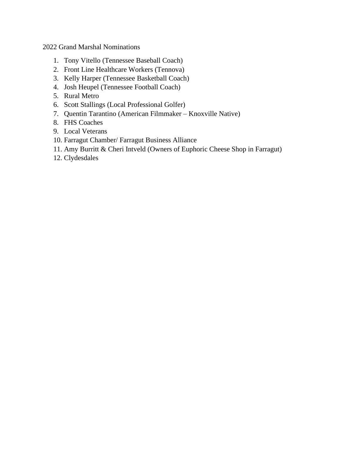2022 Grand Marshal Nominations

- 1. Tony Vitello (Tennessee Baseball Coach)
- 2. Front Line Healthcare Workers (Tennova)
- 3. Kelly Harper (Tennessee Basketball Coach)
- 4. Josh Heupel (Tennessee Football Coach)
- 5. Rural Metro
- 6. Scott Stallings (Local Professional Golfer)
- 7. Quentin Tarantino (American Filmmaker Knoxville Native)
- 8. FHS Coaches
- 9. Local Veterans
- 10. Farragut Chamber/ Farragut Business Alliance
- 11. Amy Burritt & Cheri Intveld (Owners of Euphoric Cheese Shop in Farragut)
- 12. Clydesdales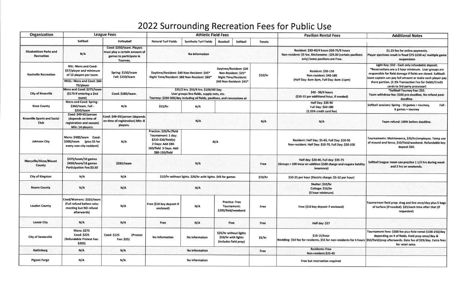## 2022 Surrounding Recreation Fees for Public Use

| <b>Organization</b>                                |                                                                                                                | <b>League Fees</b>                                                                                | <b>Athletic Field Fees</b>                                                                                                                                                                              |                              |                                                                        |          |               | <b>Pavilion Rental Fees</b>                                                                                                                      | <b>Additional Notes</b>                                                                                                                                                                                                                                                                     |
|----------------------------------------------------|----------------------------------------------------------------------------------------------------------------|---------------------------------------------------------------------------------------------------|---------------------------------------------------------------------------------------------------------------------------------------------------------------------------------------------------------|------------------------------|------------------------------------------------------------------------|----------|---------------|--------------------------------------------------------------------------------------------------------------------------------------------------|---------------------------------------------------------------------------------------------------------------------------------------------------------------------------------------------------------------------------------------------------------------------------------------------|
|                                                    | Softball                                                                                                       | Volleyball                                                                                        | <b>Natural Turf Fields</b>                                                                                                                                                                              | <b>Synthetic Turf Fields</b> | <b>Baseball</b>                                                        | Softball | <b>Tennis</b> |                                                                                                                                                  |                                                                                                                                                                                                                                                                                             |
| <b>Elizabethton Parks and</b><br><b>Recreation</b> | N/A                                                                                                            | Coed: \$250/team. Players<br>must play a certain amount of<br>games to participate in<br>Tourney. | <b>No Information</b>                                                                                                                                                                                   |                              |                                                                        |          |               | Resident: \$30-40/4 hours \$50-75/9 hours<br>Non-resident: \$5 fee. Kitchenette : \$25.00 (certain pavilions<br>only) Some pavilions are Free.   | \$1.25 fee for online payments.<br>Player ejections result in fined \$75-\$150 w/ multiple game<br>suspensions                                                                                                                                                                              |
| <b>Nashville Recreation</b>                        | <b>NSL: Mens and Coed:</b><br>\$57/player and minimum<br>of 12 players per team.<br>MSSL: Mens and Coed: \$60- | Spring: \$150/team<br>Fall: \$250/team                                                            | Daytime/Resident: \$20<br>Daytime/Resident: \$40 Non-Resident: \$45*<br>Non-Resident: \$25*<br>Night Time/Resident: \$60 Non-Resident: \$65*<br><b>Night Time/Resident:</b><br>\$40 Non-Resident: \$45* |                              |                                                                        |          | \$10/hr       | <b>Resident: \$30-150</b><br>Non-resident: \$40-180<br>(Half Day: 6am-3pm, Full Day: 6am-11pm)                                                   | Light Key: \$50 - Cash only refundable deposit.<br>*Reservations are a 2 hour minimum. User groups are<br>responsible for field damage if fields are closed. Softball:<br>team captain can pay full amount or make each player pay<br>there portion. (2.3% Transaction Fee for Debit/Credit |
| <b>City of Knoxville</b>                           | 70/player<br>Mens and Coed: \$275/team<br>(\$175 if entering a 2nd<br>team)                                    | Coed: \$180/team.                                                                                 | \$35/2 hrs. \$55/4 hrs. \$100/All Day<br>User groups line fields, supply nets, etc.<br>Tourney: \$200-500/day including all fields, pavilions, and concessions at                                       |                              |                                                                        |          |               | \$40 - 50/4 hours<br>(\$10-15 per additional hour, if needed)                                                                                    | cards to 3rd party processor)<br>*Softball Tourney Fee: \$55.<br>Team withdraw fee: \$100 pre-deadline, No refund post-                                                                                                                                                                     |
| <b>Knox County</b>                                 | Mens and Coed: Spring -<br>\$360/team, Fall -<br>\$250/team                                                    | N/A                                                                                               | \$15/hr                                                                                                                                                                                                 | N/A                          |                                                                        |          |               | Half Day: \$35-90<br>Full Day: \$60-180<br>(2.35% credit card fee)                                                                               | deadline.<br>Softball sessions: Spring - 10 games + tourney,<br>$Fall -$<br>6 games + tourney                                                                                                                                                                                               |
| <b>Knoxville Sports and Social</b><br>Club         | Coed: \$49-65/person<br>(depends on time of<br>registration and season)<br>Min: 14 players.                    | Coed: \$49-59/person (depends<br>on time of registration) Min: 8<br>players.                      | N/A                                                                                                                                                                                                     |                              |                                                                        |          | N/A           | N/A                                                                                                                                              | Team refund: 100% before deadline.                                                                                                                                                                                                                                                          |
| Johnson City                                       | Mens: \$400/team Coed:<br>\$300/team (plus \$5 for<br>every non-city resident)                                 | N/A                                                                                               | Practice: \$20/hr/field<br>Tournament: 1 day:<br>\$210-320/field(s)<br>2 Days: Add \$80-<br>160/field 3 Days: Add<br>\$80-150/field                                                                     | N/A                          |                                                                        |          |               | Resident: Half Day: \$5-65, Full Day: \$10-95<br>Non-resident: Half Day: \$10-70, Full Day: \$20-100                                             | Tournaments: Maintenance, \$20/hr/employee. Temp use<br>of mound and fence, \$50/field/weekend. Refundable key<br>deposit \$50.                                                                                                                                                             |
| Maryville/Alcoa/Blount<br>County                   | \$375/team/10 games<br>\$450/team/16 games<br><b>Participation Fee:\$3.50</b>                                  | \$265/team                                                                                        | N/A                                                                                                                                                                                                     |                              |                                                                        |          | <b>Free</b>   | Half day: \$20-40, Full day: \$35-75<br>(Groups > 100 incur an addition \$100 charge and require liability<br>insurance)                         | Softball league: team can practice 1 1/2 hrs during week<br>and 2 hrs on weekends.                                                                                                                                                                                                          |
| <b>City of Kingston</b>                            | N/A                                                                                                            | N/A                                                                                               | \$10/hr without lights. \$20/hr with lights. \$45 for games                                                                                                                                             |                              |                                                                        |          | \$10/hr       | \$10-25 per hour (Electric charge: \$5-10 per hour)                                                                                              |                                                                                                                                                                                                                                                                                             |
| <b>Roane County</b>                                | N/A                                                                                                            | N/A                                                                                               | N/A                                                                                                                                                                                                     |                              |                                                                        |          |               | Shelter: \$10/hr<br>Cottage: \$15/hr<br>(3 hour minimum)                                                                                         |                                                                                                                                                                                                                                                                                             |
| <b>Loudon County</b>                               | Coed/Womens: \$325/team<br>(Full refund before rules<br>meeting but NO refund<br>afterwards)                   | N/A                                                                                               | Free (\$10 key deposit if<br>enclosed)                                                                                                                                                                  | N/A                          | <b>Practice: Free</b><br>Tournament:<br>\$200/field/weekend            |          | Free          | Free (\$10 key deposit if enclosed)                                                                                                              | Tournament field prep: drag and line once/day plus 5 bags<br>of turface (if needed). \$25/each time after that (if<br>requested)                                                                                                                                                            |
| <b>Lenoir City</b>                                 | N/A                                                                                                            | N/A                                                                                               | <b>Free</b>                                                                                                                                                                                             | N/A                          | Free                                                                   |          | Free          | Half day: \$27                                                                                                                                   |                                                                                                                                                                                                                                                                                             |
| <b>City of Sevierville</b>                         | <b>Mens: \$275</b><br>Coed: \$225<br>(Refundable Protest Fee:<br>\$200)                                        | <b>Coed: \$125</b><br>(Protest<br>Fee: \$25)                                                      | No Information                                                                                                                                                                                          | No Information               | \$25/hr without lights<br>\$50/hr with lights<br>(includes field prep) |          | \$5/hr        | \$10-15/hour<br>Wedding: \$50 fee for residents, \$55 for non-residents for 4 hours \$50/field/prep afterwards. Gate fee of \$25/day. Extra fees | Tournament fees: \$300 fee plus field rental \$100-250/day<br>depending on # of fields. Field prep once/day &<br>for retail sales.                                                                                                                                                          |
| <b>Gatlinburg</b>                                  | N/A                                                                                                            | N/A                                                                                               | <b>No Information</b>                                                                                                                                                                                   |                              |                                                                        |          | Free          | <b>Residents: Free</b><br>Non-resident:\$25-45                                                                                                   |                                                                                                                                                                                                                                                                                             |
| <b>Pigeon Forge</b>                                | N/A                                                                                                            | N/A                                                                                               | No Information                                                                                                                                                                                          |                              |                                                                        |          |               | Free but reservation required                                                                                                                    |                                                                                                                                                                                                                                                                                             |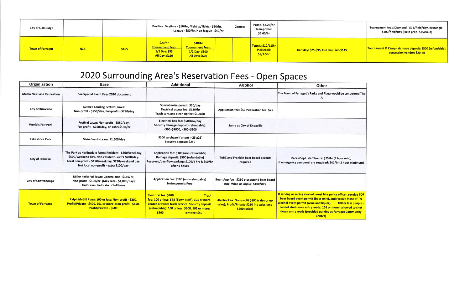| <b>City of Oak Ridge</b> |     |       | Practice: Daytime - \$10/hr, Night w/ lights - \$20/hr.<br>Games:<br>League - \$30/hr, Non-league - \$40/hr |                                                                        |  | Prime: \$7.20/hr<br>Non-prime:<br>\$3.60/hr                           |                                           | Tournament fees: Diamond - \$75/field/day, Rectangle -<br>\$100/field/day (Field prep: \$25/field) |
|--------------------------|-----|-------|-------------------------------------------------------------------------------------------------------------|------------------------------------------------------------------------|--|-----------------------------------------------------------------------|-------------------------------------------|----------------------------------------------------------------------------------------------------|
| <b>Town of Farragut</b>  | N/A | \$165 | \$20/hr<br><b>Tournament Fees:</b><br>$1/2$ Day: \$85<br><b>All Day: \$150</b>                              | \$40/hr<br><b>Tournament Fees:</b><br>1/2 Day: \$300<br>All Day: \$600 |  | $\vert$ Tennis: \$10/1.5hr $\vert$<br><b>Pickleball:</b><br>\$5/1.5hr | Half day: \$25-\$95, Full day: \$40-\$145 | Tournament & Camp - damage deposit: \$500 (refundable), <br>consession vendor: \$20-40             |

# 2020 Surrounding Area's Reservation Fees - Open Spaces

| <b>Organization</b>               | <b>Base</b>                                                                                                                                                                                                      | <b>Additional</b>                                                                                                                                                                                                                 | <b>Alcohol</b>                                                                                             | <b>Other</b>                                                                                                                                                                                                                                                                              |  |
|-----------------------------------|------------------------------------------------------------------------------------------------------------------------------------------------------------------------------------------------------------------|-----------------------------------------------------------------------------------------------------------------------------------------------------------------------------------------------------------------------------------|------------------------------------------------------------------------------------------------------------|-------------------------------------------------------------------------------------------------------------------------------------------------------------------------------------------------------------------------------------------------------------------------------------------|--|
| <b>Metro Nashville Recreation</b> | See Special Event Fees 2020 document                                                                                                                                                                             |                                                                                                                                                                                                                                   |                                                                                                            | The Town of Farragut's Parks and Plaza would be                                                                                                                                                                                                                                           |  |
| <b>City of Knoxville</b>          | <b>Suttree Landing Festival Lawn:</b><br>Non-profit - \$550/day, For-profit - \$750/day                                                                                                                          | Special noise permit: \$50/day<br>Electrical access fee: \$150/hr<br>Trash cans and clean up fee: \$100/hr                                                                                                                        | Application fee: \$50 Publication fee: \$25                                                                |                                                                                                                                                                                                                                                                                           |  |
| <b>World's Fair Park</b>          | Festival Lawn: Non-profit - \$550/day,<br>For-profit - \$750/day, or <4hr=\$100/hr                                                                                                                               | Electrical box fee: \$50/box/day<br>Security damage deposit (refundable):<br>>300=\$1000, <300=\$500                                                                                                                              | Same as City of Knoxville                                                                                  |                                                                                                                                                                                                                                                                                           |  |
| Lakeshore Park                    | Main Events Lawn: \$1,500/day                                                                                                                                                                                    | \$500 surchage if a tent > 25'x25'<br>Security deposit: \$250                                                                                                                                                                     |                                                                                                            |                                                                                                                                                                                                                                                                                           |  |
| <b>City of Franklin</b>           | The Park at Harlinsdale Farm: Resident - \$300/weekday,<br>\$500/weekend day. Non-resident - extra \$200/day.<br>Local non-profit - \$150/weekday, \$250/weekend day.<br>Not local non-profit - extra \$100/day. | Application fee: \$100 (non-refundable)<br>Damage deposit: \$500 (refundable)<br>Reserved/overflow parking: \$100/4 hrs & \$50/hr<br>after 4 hours                                                                                | <b>TABC and Franklin Beer Board permits</b><br>required                                                    | Parks Dept. staff hours: \$25/hr (4 hour )<br>If emergency personnel are required: \$40/hr (2 h                                                                                                                                                                                           |  |
| <b>City of Chattanooga</b>        | Miller Park: Full lawn: General use - \$150/hr,<br>Non-profit - \$100/hr. (Max rate - \$1,000/day)<br>Half Lawn: half rate of full lawn                                                                          | Application fee: \$100 (non-refundable)<br>Noise permit: Free                                                                                                                                                                     | Beer: App fee - \$250 plus attend beer board<br>mtg, Wine or Liqour: \$100/day                             |                                                                                                                                                                                                                                                                                           |  |
| <b>Town of Farragut</b>           | Ralph McGill Plaza: 100 or less: Non-profit - \$300.<br>Profit/Private - \$400. 101 or more: Non-profit - \$450,<br><b>Profit/Private - \$600</b>                                                                | <b>Electrical fee: \$100</b><br><b>Trash</b><br>fee: 100 or less: \$75 (Town staff), 101 or more:<br>renter provides trash service. Security deposit<br>(refundable): 100 or less: \$300, 101 or more:<br>\$500<br>Tent fee: \$50 | Alcohol Fee: Non-profit \$100 (sales or no<br>sales); Profit/Private \$250 (no sales) and<br>\$500 (sales) | If serving or selling alochol: must hire police office<br>beer board event permit (beer only), and receive<br>alcohol event permit (wine and liquor).<br>100 <sub>o</sub><br>cannot shut down entry roads; 101 or more - all<br>down entry roads (provided parking at Farragut<br>Center) |  |



 $\mathcal{C}$